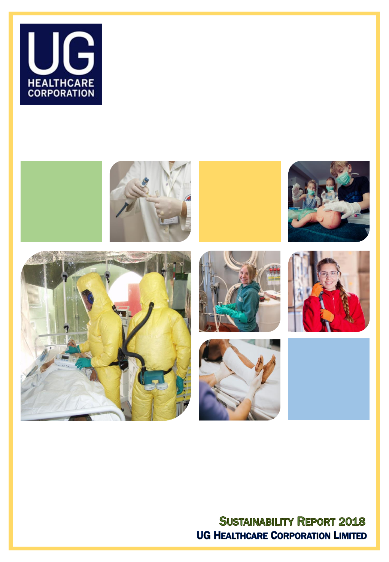



## **SUSTAINABILITY REPORT 2018 UG HEALTHCARE CORPORATION LIMITED**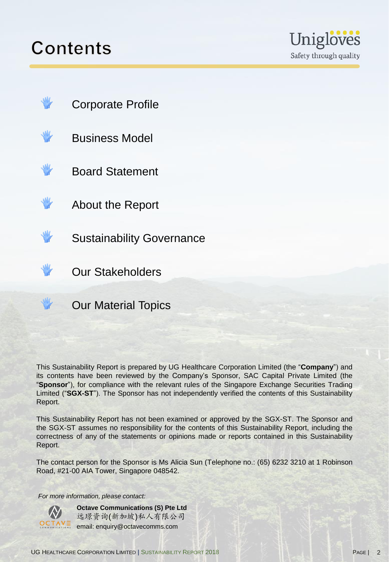## Contents





This Sustainability Report is prepared by UG Healthcare Corporation Limited (the "**Company**") and its contents have been reviewed by the Company's Sponsor, SAC Capital Private Limited (the "**Sponsor**"), for compliance with the relevant rules of the Singapore Exchange Securities Trading Limited ("**SGX-ST**"). The Sponsor has not independently verified the contents of this Sustainability Report.

This Sustainability Report has not been examined or approved by the SGX-ST. The Sponsor and the SGX-ST assumes no responsibility for the contents of this Sustainability Report, including the correctness of any of the statements or opinions made or reports contained in this Sustainability Report.

The contact person for the Sponsor is Ms Alicia Sun (Telephone no.: (65) 6232 3210 at 1 Robinson Road, #21-00 AIA Tower, Singapore 048542.

*For more information, please contact:* 

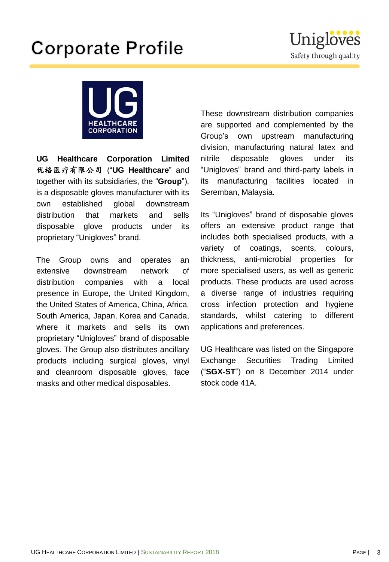# **Corporate Profile**





**UG Healthcare Corporation Limited** 优格医疗有限公司 ("**UG Healthcare**" and together with its subsidiaries, the "**Group**"), is a disposable gloves manufacturer with its own established global downstream distribution that markets and sells disposable glove products under its proprietary "Unigloves" brand.

The Group owns and operates an extensive downstream network of distribution companies with a local presence in Europe, the United Kingdom, the United States of America, China, Africa, South America, Japan, Korea and Canada, where it markets and sells its own proprietary "Unigloves" brand of disposable gloves. The Group also distributes ancillary products including surgical gloves, vinyl and cleanroom disposable gloves, face masks and other medical disposables.

These downstream distribution companies are supported and complemented by the Group's own upstream manufacturing division, manufacturing natural latex and nitrile disposable gloves under its "Unigloves" brand and third-party labels in its manufacturing facilities located in Seremban, Malaysia.

Its "Unigloves" brand of disposable gloves offers an extensive product range that includes both specialised products, with a variety of coatings, scents, colours, thickness, anti-microbial properties for more specialised users, as well as generic products. These products are used across a diverse range of industries requiring cross infection protection and hygiene standards, whilst catering to different applications and preferences.

UG Healthcare was listed on the Singapore Exchange Securities Trading Limited ("**SGX-ST**") on 8 December 2014 under stock code 41A.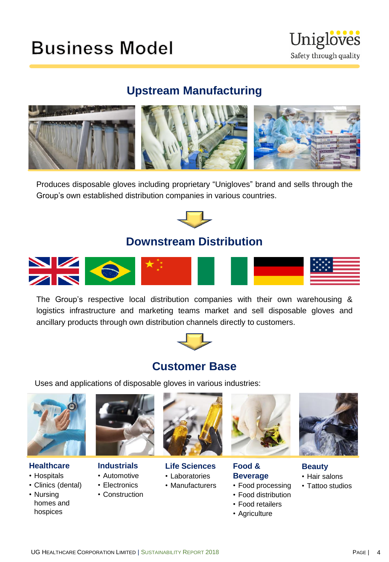## **Business Model**



## **Upstream Manufacturing**



Produces disposable gloves including proprietary "Unigloves" brand and sells through the Group's own established distribution companies in various countries.



### **Downstream Distribution**



The Group's respective local distribution companies with their own warehousing & logistics infrastructure and marketing teams market and sell disposable gloves and ancillary products through own distribution channels directly to customers.



### **Customer Base**

Uses and applications of disposable gloves in various industries:



#### **Healthcare**

- Hospitals
- Clinics (dental)
- Nursing homes and hospices



#### **Industrials**

- Automotive
- Electronics
- Construction



#### **Life Sciences** • Laboratories

• Manufacturers



**Food & Beverage**

- Food processing
- Food distribution
- Food retailers
- Agriculture



- **Beauty** • Hair salons
- Tattoo studios

UG HEALTHCARE CORPORATION LIMITED | SUSTAINABILITY REPORT 2018 **PAGE 1 A** PAGE | 4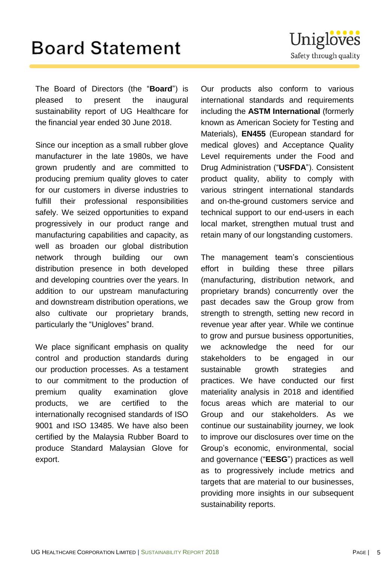## **Board Statement**

The Board of Directors (the "**Board**") is pleased to present the inaugural sustainability report of UG Healthcare for the financial year ended 30 June 2018.

Since our inception as a small rubber glove manufacturer in the late 1980s, we have grown prudently and are committed to producing premium quality gloves to cater for our customers in diverse industries to fulfill their professional responsibilities safely. We seized opportunities to expand progressively in our product range and manufacturing capabilities and capacity, as well as broaden our global distribution network through building our own distribution presence in both developed and developing countries over the years. In addition to our upstream manufacturing and downstream distribution operations, we also cultivate our proprietary brands, particularly the "Unigloves" brand.

We place significant emphasis on quality control and production standards during our production processes. As a testament to our commitment to the production of premium quality examination glove products, we are certified to the internationally recognised standards of ISO 9001 and ISO 13485. We have also been certified by the Malaysia Rubber Board to produce Standard Malaysian Glove for export.

Our products also conform to various international standards and requirements including the **ASTM International** (formerly known as American Society for Testing and Materials), **EN455** (European standard for medical gloves) and Acceptance Quality Level requirements under the Food and Drug Administration ("**USFDA**"). Consistent product quality, ability to comply with various stringent international standards and on-the-ground customers service and technical support to our end-users in each local market, strengthen mutual trust and

retain many of our longstanding customers.

The management team's conscientious effort in building these three pillars (manufacturing, distribution network, and proprietary brands) concurrently over the past decades saw the Group grow from strength to strength, setting new record in revenue year after year. While we continue to grow and pursue business opportunities, we acknowledge the need for our stakeholders to be engaged in our sustainable growth strategies and practices. We have conducted our first materiality analysis in 2018 and identified focus areas which are material to our Group and our stakeholders. As we continue our sustainability journey, we look to improve our disclosures over time on the Group's economic, environmental, social and governance ("**EESG**") practices as well as to progressively include metrics and targets that are material to our businesses, providing more insights in our subsequent sustainability reports.

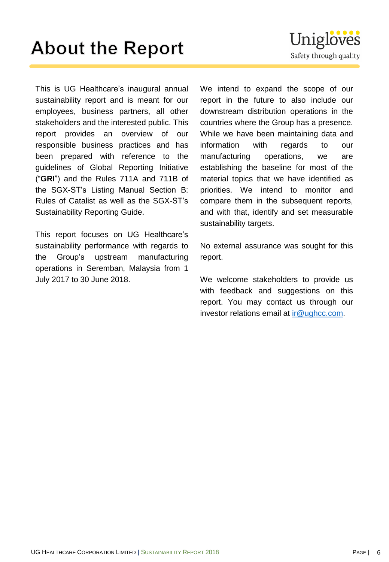# **About the Report**

This is UG Healthcare's inaugural annual sustainability report and is meant for our employees, business partners, all other stakeholders and the interested public. This report provides an overview of our responsible business practices and has been prepared with reference to the guidelines of Global Reporting Initiative ("**GRI**") and the Rules 711A and 711B of the SGX-ST's Listing Manual Section B: Rules of Catalist as well as the SGX-ST's Sustainability Reporting Guide.

This report focuses on UG Healthcare's sustainability performance with regards to the Group's upstream manufacturing operations in Seremban, Malaysia from 1 July 2017 to 30 June 2018.

We intend to expand the scope of our report in the future to also include our downstream distribution operations in the countries where the Group has a presence. While we have been maintaining data and information with regards to our manufacturing operations, we are establishing the baseline for most of the material topics that we have identified as priorities. We intend to monitor and compare them in the subsequent reports, and with that, identify and set measurable sustainability targets.

No external assurance was sought for this report.

We welcome stakeholders to provide us with feedback and suggestions on this report. You may contact us through our investor relations email at [ir@ughcc.com](mailto:ir@ughcc.com).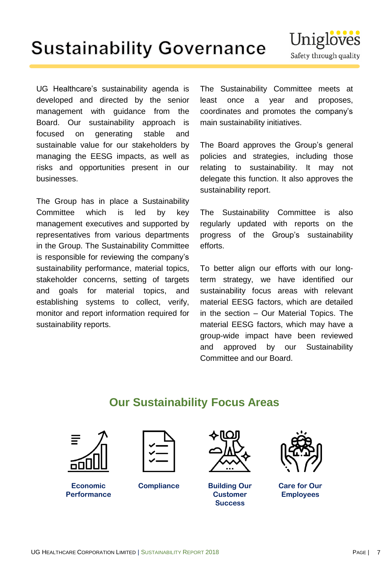# **Sustainability Governance**

UG Healthcare's sustainability agenda is developed and directed by the senior management with guidance from the Board. Our sustainability approach is focused on generating stable and sustainable value for our stakeholders by managing the EESG impacts, as well as risks and opportunities present in our businesses.

The Group has in place a Sustainability Committee which is led by key management executives and supported by representatives from various departments in the Group. The Sustainability Committee is responsible for reviewing the company's sustainability performance, material topics, stakeholder concerns, setting of targets and goals for material topics, and establishing systems to collect, verify, monitor and report information required for sustainability reports.

The Sustainability Committee meets at least once a year and proposes, coordinates and promotes the company's main sustainability initiatives.

The Board approves the Group's general policies and strategies, including those relating to sustainability. It may not delegate this function. It also approves the sustainability report.

The Sustainability Committee is also regularly updated with reports on the progress of the Group's sustainability efforts.

To better align our efforts with our longterm strategy, we have identified our sustainability focus areas with relevant material EESG factors, which are detailed in the section – Our Material Topics. The material EESG factors, which may have a group-wide impact have been reviewed and approved by our Sustainability Committee and our Board.

### **Our Sustainability Focus Areas**



**Economic Performance**



**Compliance Building Our** 



**Customer Success**



**Care for Our Employees**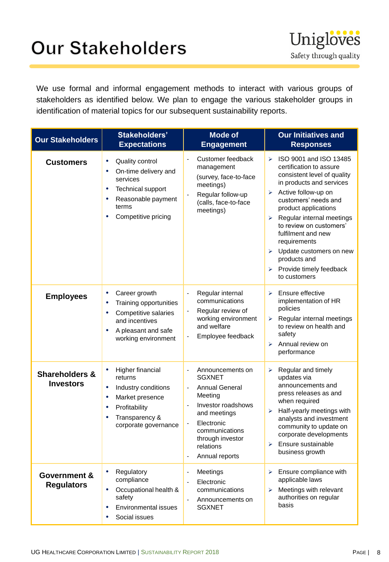# **Our Stakeholders**



We use formal and informal engagement methods to interact with various groups of stakeholders as identified below. We plan to engage the various stakeholder groups in identification of material topics for our subsequent sustainability reports.

| <b>Our Stakeholders</b>                       | Stakeholders'<br><b>Expectations</b>                                                                                                                      | <b>Mode of</b><br><b>Engagement</b>                                                                                                                                                                                                                  | <b>Our Initiatives and</b><br><b>Responses</b>                                                                                                                                                                                                                                                                                                                                                                                   |
|-----------------------------------------------|-----------------------------------------------------------------------------------------------------------------------------------------------------------|------------------------------------------------------------------------------------------------------------------------------------------------------------------------------------------------------------------------------------------------------|----------------------------------------------------------------------------------------------------------------------------------------------------------------------------------------------------------------------------------------------------------------------------------------------------------------------------------------------------------------------------------------------------------------------------------|
| <b>Customers</b>                              | Quality control<br>٠<br>On-time delivery and<br>٠<br>services<br>Technical support<br>٠<br>Reasonable payment<br>٠<br>terms<br>Competitive pricing<br>٠   | Customer feedback<br>management<br>(survey, face-to-face<br>meetings)<br>Regular follow-up<br>$\overline{\phantom{a}}$<br>(calls, face-to-face<br>meetings)                                                                                          | ISO 9001 and ISO 13485<br>$\blacktriangleright$<br>certification to assure<br>consistent level of quality<br>in products and services<br>Active follow-up on<br>➤<br>customers' needs and<br>product applications<br>Regular internal meetings<br>➤<br>to review on customers'<br>fulfilment and new<br>requirements<br>Update customers on new<br>➤<br>products and<br>$\triangleright$ Provide timely feedback<br>to customers |
| <b>Employees</b>                              | Career growth<br>٠<br>Training opportunities<br>٠<br>Competitive salaries<br>٠<br>and incentives<br>A pleasant and safe<br>working environment            | Regular internal<br>$\blacksquare$<br>communications<br>Regular review of<br>$\blacksquare$<br>working environment<br>and welfare<br>Employee feedback                                                                                               | Ensure effective<br>⋗<br>implementation of HR<br>policies<br>Regular internal meetings<br>➤<br>to review on health and<br>safety<br>Annual review on<br>⋗<br>performance                                                                                                                                                                                                                                                         |
| <b>Shareholders &amp;</b><br><b>Investors</b> | Higher financial<br>٠<br>returns<br>Industry conditions<br>٠<br>Market presence<br>٠<br>Profitability<br>٠<br>Transparency &<br>٠<br>corporate governance | Announcements on<br>$\overline{a}$<br><b>SGXNET</b><br><b>Annual General</b><br>Meeting<br>Investor roadshows<br>$\overline{a}$<br>and meetings<br>Electronic<br>$\blacksquare$<br>communications<br>through investor<br>relations<br>Annual reports | Regular and timely<br>➤<br>updates via<br>announcements and<br>press releases as and<br>when required<br>Half-yearly meetings with<br>➤<br>analysts and investment<br>community to update on<br>corporate developments<br>Ensure sustainable<br>⋗<br>business growth                                                                                                                                                             |
| Government &<br><b>Regulators</b>             | Regulatory<br>$\bullet$<br>compliance<br>Occupational health &<br>٠<br>safety<br><b>Environmental issues</b><br>٠<br>Social issues                        | Meetings<br>$\blacksquare$<br>Electronic<br>communications<br>Announcements on<br><b>SGXNET</b>                                                                                                                                                      | Ensure compliance with<br>➤<br>applicable laws<br>Meetings with relevant<br>➤<br>authorities on regular<br>basis                                                                                                                                                                                                                                                                                                                 |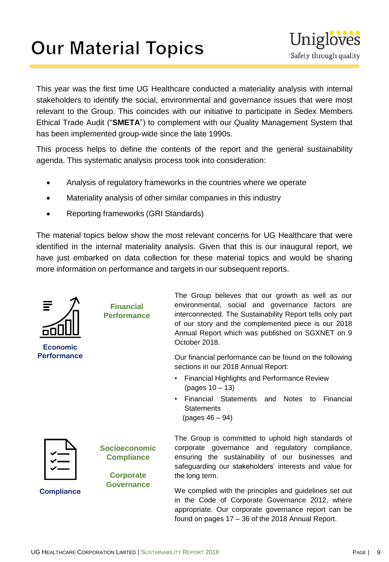# **Our Material Topics**



This year was the first time UG Healthcare conducted a materiality analysis with internal stakeholders to identify the social, environmental and governance issues that were most relevant to the Group. This coincides with our initiative to participate in Sedex Members Ethical Trade Audit ("**SMETA**") to complement with our Quality Management System that has been implemented group-wide since the late 1990s.

This process helps to define the contents of the report and the general sustainability agenda. This systematic analysis process took into consideration:

- Analysis of regulatory frameworks in the countries where we operate
- Materiality analysis of other similar companies in this industry
- Reporting frameworks (GRI Standards)

The material topics below show the most relevant concerns for UG Healthcare that were identified in the internal materiality analysis. Given that this is our inaugural report, we have just embarked on data collection for these material topics and would be sharing more information on performance and targets in our subsequent reports.



We complied with the principles and guidelines set out in the Code of Corporate Governance 2012, where appropriate. Our corporate governance report can be found on pages 17 – 36 of the 2018 Annual Report.

**Compliance**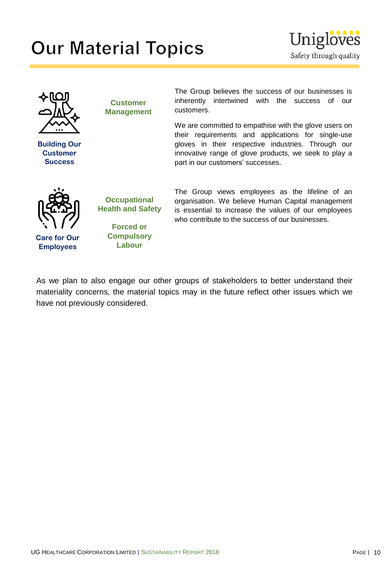# **Our Material Topics**





**Building Our Customer Success**

**Customer Management** The Group believes the success of our businesses is inherently intertwined with the success of our customers.

We are committed to empathise with the glove users on their requirements and applications for single-use gloves in their respective industries. Through our innovative range of glove products, we seek to play a part in our customers' successes.



**Care for Our Employees**

**Occupational Health and Safety**

> **Forced or Compulsory Labour**

The Group views employees as the lifeline of an organisation. We believe Human Capital management is essential to increase the values of our employees who contribute to the success of our businesses.

As we plan to also engage our other groups of stakeholders to better understand their materiality concerns, the material topics may in the future reflect other issues which we have not previously considered.